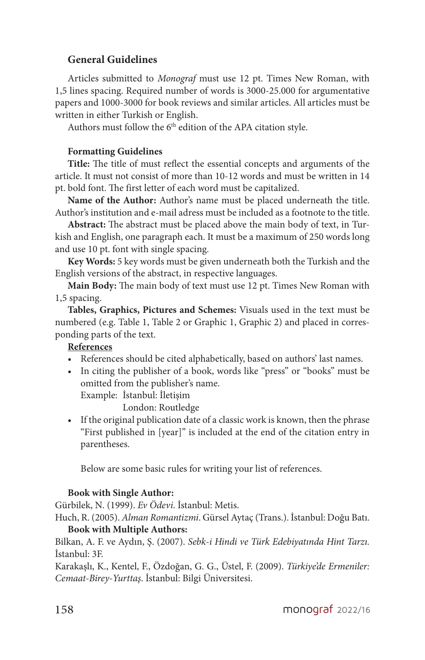# **General Guidelines**

Articles submitted to *Monograf* must use 12 pt. Times New Roman, with 1,5 lines spacing. Required number of words is 3000-25.000 for argumentative papers and 1000-3000 for book reviews and similar articles. All articles must be written in either Turkish or English.

Authors must follow the 6<sup>th</sup> edition of the APA citation style.

## **Formatting Guidelines**

**Title:** The title of must reflect the essential concepts and arguments of the article. It must not consist of more than 10-12 words and must be written in 14 pt. bold font. The first letter of each word must be capitalized.

**Name of the Author:** Author's name must be placed underneath the title. Author's institution and e-mail adress must be included as a footnote to the title.

**Abstract:** The abstract must be placed above the main body of text, in Turkish and English, one paragraph each. It must be a maximum of 250 words long and use 10 pt. font with single spacing.

**Key Words:** 5 key words must be given underneath both the Turkish and the English versions of the abstract, in respective languages.

**Main Body:** The main body of text must use 12 pt. Times New Roman with 1,5 spacing.

**Tables, Graphics, Pictures and Schemes:** Visuals used in the text must be numbered (e.g. Table 1, Table 2 or Graphic 1, Graphic 2) and placed in corresponding parts of the text.

## **References**

- References should be cited alphabetically, based on authors' last names.
- In citing the publisher of a book, words like "press" or "books" must be omitted from the publisher's name.

Example: İstanbul: İletişim

London: Routledge

• If the original publication date of a classic work is known, then the phrase "First published in [year]" is included at the end of the citation entry in parentheses.

Below are some basic rules for writing your list of references.

#### **Book with Single Author:**

Gürbilek, N. (1999). *Ev Ödevi*. İstanbul: Metis.

Huch, R. (2005). *Alman Romantizmi*. Gürsel Aytaç (Trans.). İstanbul: Doğu Batı. **Book with Multiple Authors:**

Bilkan, A. F. ve Aydın, Ş. (2007). *Sebk-i Hindi ve Türk Edebiyatında Hint Tarzı.*  İstanbul: 3F.

Karakaşlı, K., Kentel, F., Özdoğan, G. G., Üstel, F. (2009). *Türkiye'de Ermeniler: Cemaat-Birey-Yurttaş*. İstanbul: Bilgi Üniversitesi.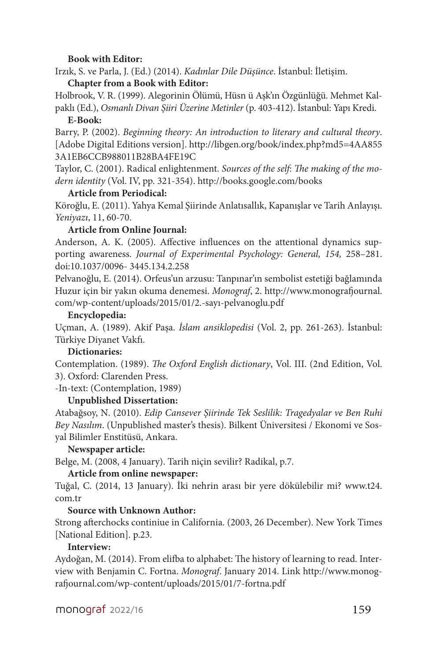### **Book with Editor:**

Irzık, S. ve Parla, J. (Ed.) (2014). *Kadınlar Dile Düşünce*. İstanbul: İletişim. **Chapter from a Book with Editor:**

Holbrook, V. R. (1999). Alegorinin Ölümü, Hüsn ü Aşk'ın Özgünlüğü. Mehmet Kalpaklı (Ed.), *Osmanlı Divan Şiiri Üzerine Metinler* (p. 403-412). İstanbul: Yapı Kredi.

#### **E-Book:**

Barry, P. (2002). *Beginning theory: An introduction to literary and cultural theory*. [Adobe Digital Editions version]. http://libgen.org/book/index.php?md5=4AA855 3A1EB6CCB988011B28BA4FE19C

Taylor, C. (2001). Radical enlightenment. *Sources of the self*: *The making of the modern identity* (Vol. IV, pp. 321-354). http://books.google.com/books

## **Article from Periodical:**

Köroğlu, E. (2011). Yahya Kemal Şiirinde Anlatısallık, Kapanışlar ve Tarih Anlayışı. *Yeniyazı*, 11, 60-70.

# **Article from Online Journal:**

Anderson, A. K. (2005). Affective influences on the attentional dynamics supporting awareness. *Journal of Experimental Psychology: General, 154,* 258–281. doi:10.1037/0096- 3445.134.2.258

Pelvanoğlu, E. (2014). Orfeus'un arzusu: Tanpınar'ın sembolist estetiği bağlamında Huzur için bir yakın okuma denemesi. *Monograf*, 2. http://www.monografjournal. com/wp-content/uploads/2015/01/2.-sayı-pelvanoglu.pdf

#### **Encyclopedia:**

Uçman, A. (1989). Akif Paşa. *İslam ansiklopedisi* (Vol. 2, pp. 261-263). İstanbul: Türkiye Diyanet Vakfı.

#### **Dictionaries:**

Contemplation. (1989). *The Oxford English dictionary*, Vol. III. (2nd Edition, Vol. 3). Oxford: Clarenden Press.

-In-text: (Contemplation, 1989)

# **Unpublished Dissertation:**

Atabağsoy, N. (2010). *Edip Cansever Şiirinde Tek Seslilik: Tragedyalar ve Ben Ruhi Bey Nasılım*. (Unpublished master's thesis). Bilkent Üniversitesi / Ekonomi ve Sosyal Bilimler Enstitüsü, Ankara.

# **Newspaper article:**

Belge, M. (2008, 4 January). Tarih niçin sevilir? Radikal, p.7.

### **Article from online newspaper:**

Tuğal, C. (2014, 13 January). İki nehrin arası bir yere dökülebilir mi? www.t24. com.tr

# **Source with Unknown Author:**

Strong afterchocks continiue in California. (2003, 26 December). New York Times [National Edition]. p.23.

#### **Interview:**

Aydoğan, M. (2014). From elifba to alphabet: The history of learning to read. Interview with Benjamin C. Fortna. *Monograf*. January 2014. Link http://www.monografjournal.com/wp-content/uploads/2015/01/7-fortna.pdf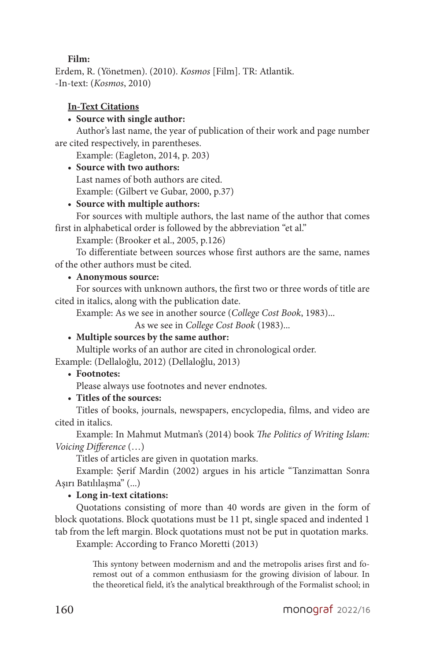### **Film:**

Erdem, R. (Yönetmen). (2010). *Kosmos* [Film]. TR: Atlantik. -In-text: (*Kosmos*, 2010)

# **In-Text Citations**

# • **Source with single author:**

Author's last name, the year of publication of their work and page number are cited respectively, in parentheses.

Example: (Eagleton, 2014, p. 203)

• **Source with two authors:**

Last names of both authors are cited. Example: (Gilbert ve Gubar, 2000, p.37)

# • **Source with multiple authors:**

For sources with multiple authors, the last name of the author that comes first in alphabetical order is followed by the abbreviation "et al."

Example: (Brooker et al., 2005, p.126)

To differentiate between sources whose first authors are the same, names of the other authors must be cited.

# • **Anonymous source:**

For sources with unknown authors, the first two or three words of title are cited in italics, along with the publication date.

Example: As we see in another source (*College Cost Book*, 1983)...

As we see in *College Cost Book* (1983)...

# • **Multiple sources by the same author:**

Multiple works of an author are cited in chronological order.

Example: (Dellaloğlu, 2012) (Dellaloğlu, 2013)

# • **Footnotes:**

Please always use footnotes and never endnotes.

• **Titles of the sources:**

Titles of books, journals, newspapers, encyclopedia, films, and video are cited in italics.

Example: In Mahmut Mutman's (2014) book *The Politics of Writing Islam: Voicing Difference* (…)

Titles of articles are given in quotation marks.

Example: Şerif Mardin (2002) argues in his article "Tanzimattan Sonra Aşırı Batılılaşma" (...)

# • **Long in-text citations:**

Quotations consisting of more than 40 words are given in the form of block quotations. Block quotations must be 11 pt, single spaced and indented 1 tab from the left margin. Block quotations must not be put in quotation marks.

Example: According to Franco Moretti (2013)

This syntony between modernism and and the metropolis arises first and foremost out of a common enthusiasm for the growing division of labour. In the theoretical field, it's the analytical breakthrough of the Formalist school; in